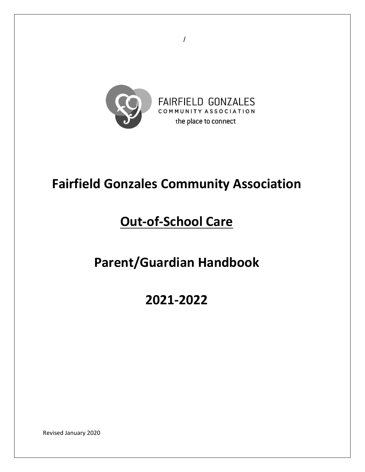

/

# **Fairfield Gonzales Community Association**

# **Out-of-School Care**

# **Parent/Guardian Handbook**

**2021-2022**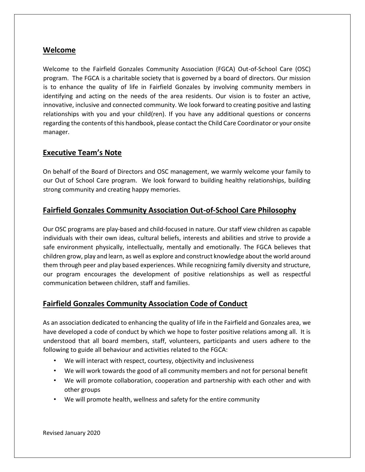## **Welcome**

Welcome to the Fairfield Gonzales Community Association (FGCA) Out-of-School Care (OSC) program. The FGCA is a charitable society that is governed by a board of directors. Our mission is to enhance the quality of life in Fairfield Gonzales by involving community members in identifying and acting on the needs of the area residents. Our vision is to foster an active, innovative, inclusive and connected community. We look forward to creating positive and lasting relationships with you and your child(ren). If you have any additional questions or concerns regarding the contents of this handbook, please contact the Child Care Coordinator or your onsite manager.

#### **Executive Team's Note**

On behalf of the Board of Directors and OSC management, we warmly welcome your family to our Out of School Care program. We look forward to building healthy relationships, building strong community and creating happy memories.

## **Fairfield Gonzales Community Association Out-of-School Care Philosophy**

Our OSC programs are play-based and child-focused in nature. Our staff view children as capable individuals with their own ideas, cultural beliefs, interests and abilities and strive to provide a safe environment physically, intellectually, mentally and emotionally. The FGCA believes that children grow, play and learn, as well as explore and construct knowledge about the world around them through peer and play based experiences. While recognizing family diversity and structure, our program encourages the development of positive relationships as well as respectful communication between children, staff and families.

## **Fairfield Gonzales Community Association Code of Conduct**

As an association dedicated to enhancing the quality of life in the Fairfield and Gonzales area, we have developed a code of conduct by which we hope to foster positive relations among all. It is understood that all board members, staff, volunteers, participants and users adhere to the following to guide all behaviour and activities related to the FGCA:

- We will interact with respect, courtesy, objectivity and inclusiveness
- We will work towards the good of all community members and not for personal benefit
- We will promote collaboration, cooperation and partnership with each other and with other groups
- We will promote health, wellness and safety for the entire community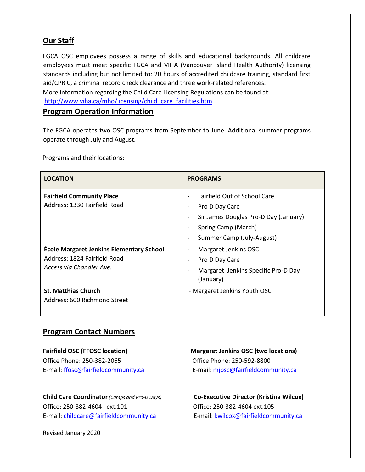# **Our Staff**

FGCA OSC employees possess a range of skills and educational backgrounds. All childcare employees must meet specific FGCA and VIHA (Vancouver Island Health Authority) licensing standards including but not limited to: 20 hours of accredited childcare training, standard first aid/CPR C, a criminal record check clearance and three work-related references. More information regarding the Child Care Licensing Regulations can be found at: http://www.viha.ca/mho/licensing/child\_care\_facilities.htm

#### **Program Operation Information**

The FGCA operates two OSC programs from September to June. Additional summer programs operate through July and August.

Programs and their locations:

| <b>LOCATION</b>                                                                                      | <b>PROGRAMS</b>                                         |  |  |
|------------------------------------------------------------------------------------------------------|---------------------------------------------------------|--|--|
| <b>Fairfield Community Place</b><br>Address: 1330 Fairfield Road                                     | <b>Fairfield Out of School Care</b>                     |  |  |
|                                                                                                      | Pro D Day Care<br>Sir James Douglas Pro-D Day (January) |  |  |
|                                                                                                      | Spring Camp (March)                                     |  |  |
|                                                                                                      | Summer Camp (July-August)                               |  |  |
| École Margaret Jenkins Elementary School<br>Address: 1824 Fairfield Road<br>Access via Chandler Ave. | Margaret Jenkins OSC                                    |  |  |
|                                                                                                      | Pro D Day Care                                          |  |  |
|                                                                                                      | Margaret Jenkins Specific Pro-D Day<br>(January)        |  |  |
| <b>St. Matthias Church</b><br>Address: 600 Richmond Street                                           | - Margaret Jenkins Youth OSC                            |  |  |
|                                                                                                      |                                                         |  |  |

## **Program Contact Numbers**

Office Phone: 250-382-2065 Office Phone: 250-592-8800

**Child Care Coordinator***(Camps and Pro-D Days)* **Co-Executive Director (Kristina Wilcox)** Office: 250-382-4604 ext.101 Office: 250-382-4604 ext.105 E-mail: childcare@fairfieldcommunity.ca E-mail: kwilcox@fairfieldcommunity.ca

**Fairfield OSC (FFOSC location) Margaret Jenkins OSC (two locations)**  E-mail: ffosc@fairfieldcommunity.ca E-mail: mjosc@fairfieldcommunity.ca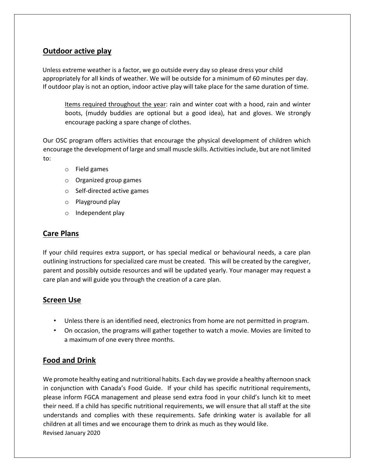# **Outdoor active play**

Unless extreme weather is a factor, we go outside every day so please dress your child appropriately for all kinds of weather. We will be outside for a minimum of 60 minutes per day. If outdoor play is not an option, indoor active play will take place for the same duration of time.

Items required throughout the year: rain and winter coat with a hood, rain and winter boots, (muddy buddies are optional but a good idea), hat and gloves. We strongly encourage packing a spare change of clothes.

Our OSC program offers activities that encourage the physical development of children which encourage the development of large and small muscle skills. Activities include, but are not limited to:

- o Field games
- o Organized group games
- o Self-directed active games
- o Playground play
- o Independent play

# **Care Plans**

If your child requires extra support, or has special medical or behavioural needs, a care plan outlining instructions for specialized care must be created. This will be created by the caregiver, parent and possibly outside resources and will be updated yearly. Your manager may request a care plan and will guide you through the creation of a care plan.

# **Screen Use**

- Unless there is an identified need, electronics from home are not permitted in program.
- On occasion, the programs will gather together to watch a movie. Movies are limited to a maximum of one every three months.

# **Food and Drink**

Revised January 2020 We promote healthy eating and nutritional habits. Each day we provide a healthy afternoon snack in conjunction with Canada's Food Guide. If your child has specific nutritional requirements, please inform FGCA management and please send extra food in your child's lunch kit to meet their need. If a child has specific nutritional requirements, we will ensure that all staff at the site understands and complies with these requirements. Safe drinking water is available for all children at all times and we encourage them to drink as much as they would like.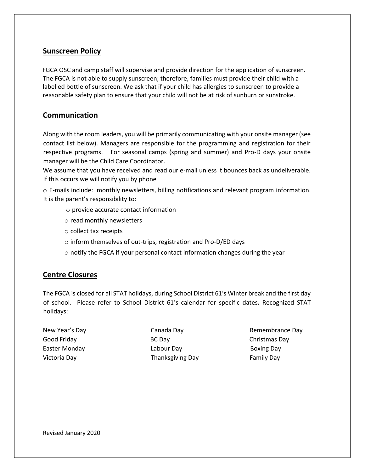## **Sunscreen Policy**

FGCA OSC and camp staff will supervise and provide direction for the application of sunscreen. The FGCA is not able to supply sunscreen; therefore, families must provide their child with a labelled bottle of sunscreen. We ask that if your child has allergies to sunscreen to provide a reasonable safety plan to ensure that your child will not be at risk of sunburn or sunstroke.

## **Communication**

Along with the room leaders, you will be primarily communicating with your onsite manager (see contact list below). Managers are responsible for the programming and registration for their respective programs. For seasonal camps (spring and summer) and Pro-D days your onsite manager will be the Child Care Coordinator.

We assume that you have received and read our e-mail unless it bounces back as undeliverable. If this occurs we will notify you by phone

o E-mails include: monthly newsletters, billing notifications and relevant program information. It is the parent's responsibility to:

- o provide accurate contact information
- o read monthly newsletters
- o collect tax receipts
- o inform themselves of out-trips, registration and Pro-D/ED days
- o notify the FGCA if your personal contact information changes during the year

## **Centre Closures**

The FGCA is closed for all STAT holidays, during School District 61's Winter break and the first day of school. Please refer to School District 61's calendar for specific dates**.** Recognized STAT holidays:

Good Friday **BC Day** BC Day **Christmas Day** Easter Monday **Easter Monday Labour Day Boxing Day** Victoria Day **Thanksgiving Day** Family Day

New Year's Day **Canada Day** Canada Day **Remembrance Day**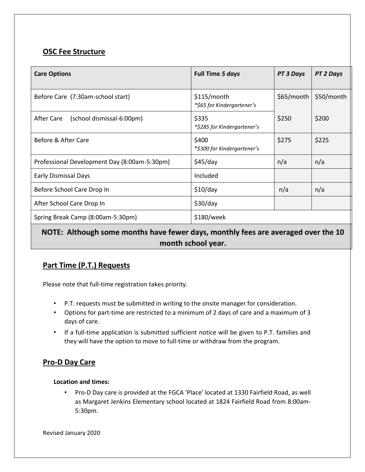# **OSC Fee Structure**

| <b>Care Options</b>                          | Full Time 5 days                          | PT 3 Days  | PT 2 Days  |
|----------------------------------------------|-------------------------------------------|------------|------------|
| Before Care (7:30am-school start)            | \$115/month<br>*\$65 for Kindergartener's | \$65/month | \$50/month |
| After Care<br>(school dismissal-6:00pm)      | \$335<br>*\$285 for Kindergartener's      | \$250      | \$200      |
| Before & After Care                          | \$400<br>*\$300 for Kindergartener's      | \$275      | \$225      |
| Professional Development Day (8:00am-5:30pm) | \$45/day                                  | n/a        | n/a        |
| <b>Early Dismissal Days</b>                  | Included                                  |            |            |
| Before School Care Drop In                   | \$10/day                                  | n/a        | n/a        |
| After School Care Drop In                    | \$30/day                                  |            |            |
| Spring Break Camp (8:00am-5:30pm)            | \$180/week                                |            |            |

# **NOTE: Although some months have fewer days, monthly fees are averaged over the 10 month school year.**

# **Part Time (P.T.) Requests**

Please note that full-time registration takes priority.

- P.T. requests must be submitted in writing to the onsite manager for consideration.
- Options for part-time are restricted to a minimum of 2 days of care and a maximum of 3 days of care.
- If a full-time application is submitted sufficient notice will be given to P.T. families and they will have the option to move to full-time or withdraw from the program.

## **Pro-D Day Care**

#### **Location and times:**

• Pro-D Day care is provided at the FGCA 'Place' located at 1330 Fairfield Road, as well as Margaret Jenkins Elementary school located at 1824 Fairfield Road from 8:00am-5:30pm.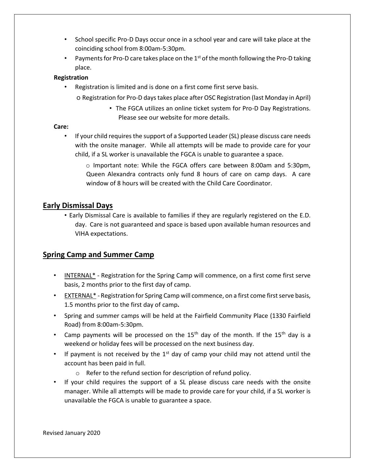- School specific Pro-D Days occur once in a school year and care will take place at the coinciding school from 8:00am-5:30pm.
- Payments for Pro-D care takes place on the  $1<sup>st</sup>$  of the month following the Pro-D taking place.

#### **Registration**

• Registration is limited and is done on a first come first serve basis.

o Registration for Pro-D days takes place after OSC Registration (last Monday in April)

▪ The FGCA utilizes an online ticket system for Pro-D Day Registrations. Please see our website for more details.

#### **Care:**

• If your child requires the support of a Supported Leader (SL) please discuss care needs with the onsite manager. While all attempts will be made to provide care for your child, if a SL worker is unavailable the FGCA is unable to guarantee a space.

o Important note: While the FGCA offers care between 8:00am and 5:30pm, Queen Alexandra contracts only fund 8 hours of care on camp days. A care window of 8 hours will be created with the Child Care Coordinator.

#### **Early Dismissal Days**

• Early Dismissal Care is available to families if they are regularly registered on the E.D. day. Care is not guaranteed and space is based upon available human resources and VIHA expectations.

## **Spring Camp and Summer Camp**

- INTERNAL\* Registration for the Spring Camp will commence, on a first come first serve basis, 2 months prior to the first day of camp.
- EXTERNAL\* Registration for Spring Camp will commence, on a first come first serve basis, 1.5 months prior to the first day of camp**.**
- Spring and summer camps will be held at the Fairfield Community Place (1330 Fairfield Road) from 8:00am-5:30pm.
- Camp payments will be processed on the  $15<sup>th</sup>$  day of the month. If the  $15<sup>th</sup>$  day is a weekend or holiday fees will be processed on the next business day.
- If payment is not received by the  $1<sup>st</sup>$  day of camp your child may not attend until the account has been paid in full.
	- o Refer to the refund section for description of refund policy.
- If your child requires the support of a SL please discuss care needs with the onsite manager. While all attempts will be made to provide care for your child, if a SL worker is unavailable the FGCA is unable to guarantee a space.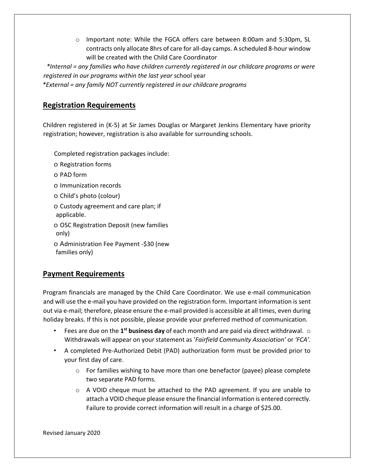o Important note: While the FGCA offers care between 8:00am and 5:30pm, SL contracts only allocate 8hrs of care for all-day camps. A scheduled 8-hour window will be created with the Child Care Coordinator

*\*Internal = any families who have children currently registered in our childcare programs or were registered in our programs within the last year* school year

*\*External = any family NOT currently registered in our childcare programs* 

#### **Registration Requirements**

Children registered in (K-5) at Sir James Douglas or Margaret Jenkins Elementary have priority registration; however, registration is also available for surrounding schools.

Completed registration packages include:

- o Registration forms
- o PAD form
- o Immunization records
- o Child's photo (colour)

o Custody agreement and care plan; if applicable.

o OSC Registration Deposit (new families only)

o Administration Fee Payment -\$30 (new families only)

#### **Payment Requirements**

Program financials are managed by the Child Care Coordinator. We use e-mail communication and will use the e-mail you have provided on the registration form. Important information is sent out via e-mail; therefore, please ensure the e-mail provided is accessible at all times, even during holiday breaks. If this is not possible, please provide your preferred method of communication.

- Fees are due on the 1<sup>st</sup> business day of each month and are paid via direct withdrawal. o Withdrawals will appear on your statement as '*Fairfield Community Association'* or *'FCA'.*
- A completed Pre-Authorized Debit (PAD) authorization form must be provided prior to your first day of care.
	- o For families wishing to have more than one benefactor (payee) please complete two separate PAD forms.
	- o A VOID cheque must be attached to the PAD agreement. If you are unable to attach a VOID cheque please ensure the financial information is entered correctly. Failure to provide correct information will result in a charge of \$25.00.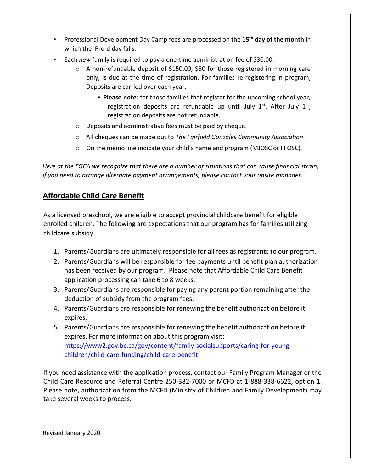- Professional Development Day Camp fees are processed on the **15th day of the month** in which the Pro-d day falls.
- Each *new* family is required to pay a one-time administration fee of \$30.00.
	- o A non-refundable deposit of \$150.00, \$50 for those registered in morning care only, is due at the time of registration. For families re-registering in program, Deposits are carried over each year.
		- **Please note**: for those families that register for the upcoming school year, registration deposits are refundable up until July  $1<sup>st</sup>$ . After July  $1<sup>st</sup>$ , registration deposits are not refundable.
	- o Deposits and administrative fees must be paid by cheque.
	- o All cheques can be made out to *The Fairfield Gonzales Community Association*.
	- o On the memo line indicate your child's name and program (MJOSC or FFOSC).

*Here at the FGCA we recognize that there are a number of situations that can cause financial strain, if you need to arrange alternate payment arrangements, please contact your onsite manager.* 

## **Affordable Child Care Benefit**

As a licensed preschool, we are eligible to accept provincial childcare benefit for eligible enrolled children. The following are expectations that our program has for families utilizing childcare subsidy.

- 1. Parents/Guardians are ultimately responsible for all fees as registrants to our program.
- 2. Parents/Guardians will be responsible for fee payments until benefit plan authorization has been received by our program. Please note that Affordable Child Care Benefit application processing can take 6 to 8 weeks.
- 3. Parents/Guardians are responsible for paying any parent portion remaining after the deduction of subsidy from the program fees.
- 4. Parents/Guardians are responsible for renewing the benefit authorization before it expires.
- 5. Parents/Guardians are responsible for renewing the benefit authorization before it expires. For more information about this program visit: [https://www2.gov.bc.ca/gov/content/family-socialsupports/caring-for-young](https://www2.gov.bc.ca/gov/content/family-social-supports/caring-for-young-children/child-care-funding/child-care-benefit)[children/child-care-funding/child-care-benefit](https://www2.gov.bc.ca/gov/content/family-social-supports/caring-for-young-children/child-care-funding/child-care-benefit)

If you need assistance with the application process, contact our Family Program Manager or the Child Care Resource and Referral Centre 250-382-7000 or MCFD at 1-888-338-6622, option 1. Please note, authorization from the MCFD (Ministry of Children and Family Development) may take several weeks to process.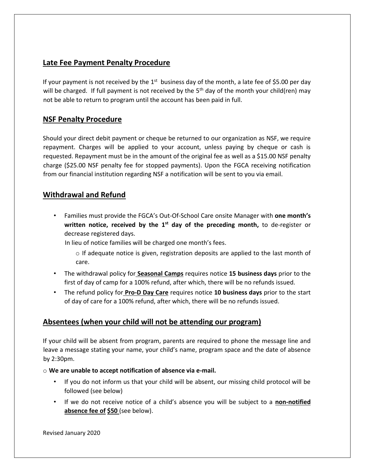## **Late Fee Payment Penalty Procedure**

If your payment is not received by the  $1<sup>st</sup>$  business day of the month, a late fee of \$5.00 per day will be charged. If full payment is not received by the  $5<sup>th</sup>$  day of the month your child(ren) may not be able to return to program until the account has been paid in full.

## **NSF Penalty Procedure**

Should your direct debit payment or cheque be returned to our organization as NSF, we require repayment. Charges will be applied to your account, unless paying by cheque or cash is requested. Repayment must be in the amount of the original fee as well as a \$15.00 NSF penalty charge (\$25.00 NSF penalty fee for stopped payments). Upon the FGCA receiving notification from our financial institution regarding NSF a notification will be sent to you via email.

## **Withdrawal and Refund**

• Families must provide the FGCA's Out-Of-School Care onsite Manager with **one month's**  written notice, received by the 1<sup>st</sup> day of the preceding month, to de-register or decrease registered days.

In lieu of notice families will be charged one month's fees.

- $\circ$  If adequate notice is given, registration deposits are applied to the last month of care.
- The withdrawal policy for **Seasonal Camps** requires notice **15 business days** prior to the first of day of camp for a 100% refund, after which, there will be no refunds issued.
- The refund policy for **Pro-D Day Care** requires notice **10 business days** prior to the start of day of care for a 100% refund, after which, there will be no refunds issued.

# **Absentees (when your child will not be attending our program)**

If your child will be absent from program, parents are required to phone the message line and leave a message stating your name, your child's name, program space and the date of absence by 2:30pm.

o **We are unable to accept notification of absence via e-mail.** 

- If you do not inform us that your child will be absent, our missing child protocol will be followed (see below)
- If we do not receive notice of a child's absence you will be subject to a **non-notified absence fee of \$50** (see below).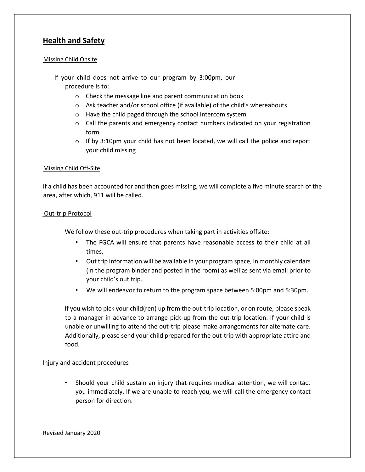# **Health and Safety**

#### Missing Child Onsite

- If your child does not arrive to our program by 3:00pm, our procedure is to:
	- o Check the message line and parent communication book
	- o Ask teacher and/or school office (if available) of the child's whereabouts
	- o Have the child paged through the school intercom system
	- o Call the parents and emergency contact numbers indicated on your registration form
	- $\circ$  If by 3:10pm your child has not been located, we will call the police and report your child missing

#### Missing Child Off-Site

If a child has been accounted for and then goes missing, we will complete a five minute search of the area, after which, 911 will be called.

#### Out-trip Protocol

We follow these out-trip procedures when taking part in activities offsite:

- The FGCA will ensure that parents have reasonable access to their child at all times.
- Out trip information will be available in your program space, in monthly calendars (in the program binder and posted in the room) as well as sent via email prior to your child's out trip.
- We will endeavor to return to the program space between 5:00pm and 5:30pm.

If you wish to pick your child(ren) up from the out-trip location, or on route, please speak to a manager in advance to arrange pick-up from the out-trip location. If your child is unable or unwilling to attend the out-trip please make arrangements for alternate care. Additionally, please send your child prepared for the out-trip with appropriate attire and food.

#### Injury and accident procedures

• Should your child sustain an injury that requires medical attention, we will contact you immediately. If we are unable to reach you, we will call the emergency contact person for direction.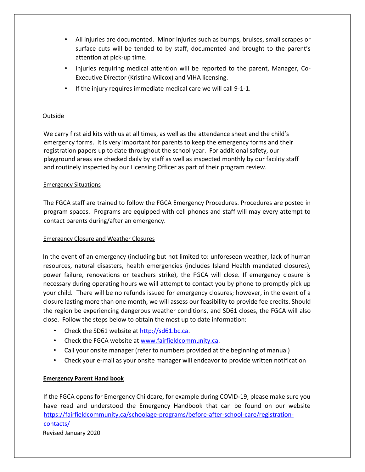- All injuries are documented. Minor injuries such as bumps, bruises, small scrapes or surface cuts will be tended to by staff, documented and brought to the parent's attention at pick-up time.
- Injuries requiring medical attention will be reported to the parent, Manager, Co-Executive Director (Kristina Wilcox) and VIHA licensing.
- If the injury requires immediate medical care we will call 9-1-1.

#### Outside

We carry first aid kits with us at all times, as well as the attendance sheet and the child's emergency forms. It is very important for parents to keep the emergency forms and their registration papers up to date throughout the school year. For additional safety, our playground areas are checked daily by staff as well as inspected monthly by our facility staff and routinely inspected by our Licensing Officer as part of their program review.

#### Emergency Situations

The FGCA staff are trained to follow the FGCA Emergency Procedures. Procedures are posted in program spaces. Programs are equipped with cell phones and staff will may every attempt to contact parents during/after an emergency.

#### Emergency Closure and Weather Closures

In the event of an emergency (including but not limited to: unforeseen weather, lack of human resources, natural disasters, health emergencies (includes Island Health mandated closures), power failure, renovations or teachers strike), the FGCA will close. If emergency closure is necessary during operating hours we will attempt to contact you by phone to promptly pick up your child. There will be no refunds issued for emergency closures; however, in the event of a closure lasting more than one month, we will assess our feasibility to provide fee credits. Should the region be experiencing dangerous weather conditions, and SD61 closes, the FGCA will also close. Follow the steps below to obtain the most up to date information:

- Check the SD61 website a[t http://sd61.bc.ca.](http://sd61.bc.ca/)
- Check the FGCA website at [www.fairfieldcommunity.ca.](http://www.fairfieldcommunity.ca/)
- Call your onsite manager (refer to numbers provided at the beginning of manual)
- Check your e-mail as your onsite manager will endeavor to provide written notification

#### **Emergency Parent Hand book**

If the FGCA opens for Emergency Childcare, for example during COVID-19, please make sure you have read and understood the Emergency Handbook that can be found on our website [https://fairfieldcommunity.ca/schoolage-programs/before-after-school-care/registration](https://fairfieldcommunity.ca/schoolage-programs/before-after-school-care/registration-contacts/)[contacts/](https://fairfieldcommunity.ca/schoolage-programs/before-after-school-care/registration-contacts/)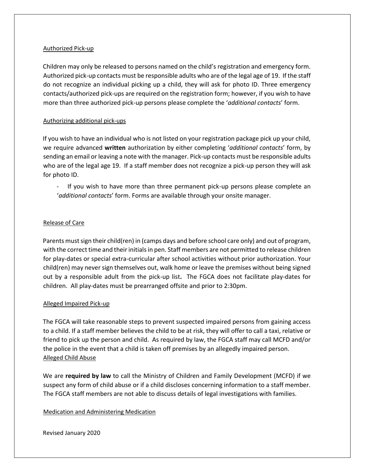#### Authorized Pick-up

Children may only be released to persons named on the child's registration and emergency form. Authorized pick-up contacts must be responsible adults who are of the legal age of 19. If the staff do not recognize an individual picking up a child, they will ask for photo ID. Three emergency contacts/authorized pick-ups are required on the registration form; however, if you wish to have more than three authorized pick-up persons please complete the '*additional contacts*' form.

#### Authorizing additional pick-ups

If you wish to have an individual who is not listed on your registration package pick up your child, we require advanced **written** authorization by either completing '*additional contacts*' form, by sending an email or leaving a note with the manager. Pick-up contacts must be responsible adults who are of the legal age 19. If a staff member does not recognize a pick-up person they will ask for photo ID.

If you wish to have more than three permanent pick-up persons please complete an '*additional contacts*' form. Forms are available through your onsite manager.

#### Release of Care

Parents must sign their child(ren) in (camps days and before school care only) and out of program, with the correct time and their initials in pen. Staff members are not permitted to release children for play-dates or special extra-curricular after school activities without prior authorization. Your child(ren) may never sign themselves out, walk home or leave the premises without being signed out by a responsible adult from the pick-up list**.** The FGCA does not facilitate play-dates for children. All play-dates must be prearranged offsite and prior to 2:30pm.

#### Alleged Impaired Pick-up

The FGCA will take reasonable steps to prevent suspected impaired persons from gaining access to a child. If a staff member believes the child to be at risk, they will offer to call a taxi, relative or friend to pick up the person and child. As required by law, the FGCA staff may call MCFD and/or the police in the event that a child is taken off premises by an allegedly impaired person. Alleged Child Abuse

We are **required by law** to call the Ministry of Children and Family Development (MCFD) if we suspect any form of child abuse or if a child discloses concerning information to a staff member. The FGCA staff members are not able to discuss details of legal investigations with families.

Medication and Administering Medication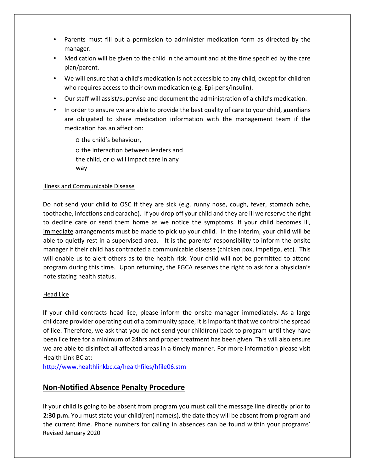- Parents must fill out a permission to administer medication form as directed by the manager.
- Medication will be given to the child in the amount and at the time specified by the care plan/parent.
- We will ensure that a child's medication is not accessible to any child, except for children who requires access to their own medication (e.g. Epi-pens/insulin).
- Our staff will assist/supervise and document the administration of a child's medication.
- In order to ensure we are able to provide the best quality of care to your child, guardians are obligated to share medication information with the management team if the medication has an affect on:

o the child's behaviour, o the interaction between leaders and the child, or o will impact care in any way

#### Illness and Communicable Disease

Do not send your child to OSC if they are sick (e.g. runny nose, cough, fever, stomach ache, toothache, infections and earache). If you drop off your child and they are ill we reserve the right to decline care or send them home as we notice the symptoms. If your child becomes ill, immediate arrangements must be made to pick up your child. In the interim, your child will be able to quietly rest in a supervised area. It is the parents' responsibility to inform the onsite manager if their child has contracted a communicable disease (chicken pox, impetigo, etc). This will enable us to alert others as to the health risk. Your child will not be permitted to attend program during this time. Upon returning, the FGCA reserves the right to ask for a physician's note stating health status.

#### Head Lice

If your child contracts head lice, please inform the onsite manager immediately. As a large childcare provider operating out of a community space, it is important that we control the spread of lice. Therefore, we ask that you do not send your child(ren) back to program until they have been lice free for a minimum of 24hrs and proper treatment has been given. This will also ensure we are able to disinfect all affected areas in a timely manner. For more information please visit Health Link BC at:

<http://www.healthlinkbc.ca/healthfiles/hfile06.stm>

## **Non-Notified Absence Penalty Procedure**

Revised January 2020 If your child is going to be absent from program you must call the message line directly prior to **2:30 p.m.** You must state your child(ren) name(s), the date they will be absent from program and the current time. Phone numbers for calling in absences can be found within your programs'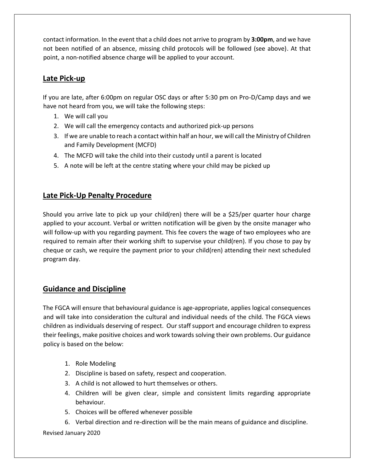contact information. In the event that a child does not arrive to program by **3:00pm**, and we have not been notified of an absence, missing child protocols will be followed (see above). At that point, a non-notified absence charge will be applied to your account.

## **Late Pick-up**

If you are late, after 6:00pm on regular OSC days or after 5:30 pm on Pro-D/Camp days and we have not heard from you, we will take the following steps:

- 1. We will call you
- 2. We will call the emergency contacts and authorized pick-up persons
- 3. If we are unable to reach a contact within half an hour, we will call the Ministry of Children and Family Development (MCFD)
- 4. The MCFD will take the child into their custody until a parent is located
- 5. A note will be left at the centre stating where your child may be picked up

## **Late Pick-Up Penalty Procedure**

Should you arrive late to pick up your child(ren) there will be a \$25/per quarter hour charge applied to your account. Verbal or written notification will be given by the onsite manager who will follow-up with you regarding payment. This fee covers the wage of two employees who are required to remain after their working shift to supervise your child(ren). If you chose to pay by cheque or cash, we require the payment prior to your child(ren) attending their next scheduled program day.

# **Guidance and Discipline**

The FGCA will ensure that behavioural guidance is age-appropriate, applies logical consequences and will take into consideration the cultural and individual needs of the child. The FGCA views children as individuals deserving of respect. Our staff support and encourage children to express their feelings, make positive choices and work towards solving their own problems. Our guidance policy is based on the below:

- 1. Role Modeling
- 2. Discipline is based on safety, respect and cooperation.
- 3. A child is not allowed to hurt themselves or others.
- 4. Children will be given clear, simple and consistent limits regarding appropriate behaviour.
- 5. Choices will be offered whenever possible
- 6. Verbal direction and re-direction will be the main means of guidance and discipline.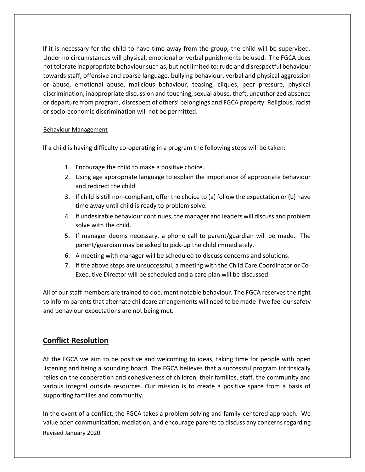If it is necessary for the child to have time away from the group, the child will be supervised. Under no circumstances will physical, emotional or verbal punishments be used. The FGCA does not tolerate inappropriate behaviour such as, but not limited to: rude and disrespectful behaviour towards staff, offensive and coarse language, bullying behaviour, verbal and physical aggression or abuse, emotional abuse, malicious behaviour, teasing, cliques, peer pressure, physical discrimination, inappropriate discussion and touching, sexual abuse, theft, unauthorized absence or departure from program, disrespect of others' belongings and FGCA property. Religious, racist or socio-economic discrimination will not be permitted.

#### Behaviour Management

If a child is having difficulty co-operating in a program the following steps will be taken:

- 1. Encourage the child to make a positive choice.
- 2. Using age appropriate language to explain the importance of appropriate behaviour and redirect the child
- 3. If child is still non-compliant, offer the choice to (a) follow the expectation or (b) have time away until child is ready to problem solve.
- 4. If undesirable behaviour continues, the manager and leaders will discuss and problem solve with the child.
- 5. If manager deems necessary, a phone call to parent/guardian will be made. The parent/guardian may be asked to pick-up the child immediately.
- 6. A meeting with manager will be scheduled to discuss concerns and solutions.
- 7. If the above steps are unsuccessful, a meeting with the Child Care Coordinator or Co-Executive Director will be scheduled and a care plan will be discussed.

All of our staff members are trained to document notable behaviour. The FGCA reserves the right to inform parents that alternate childcare arrangements will need to be made if we feel our safety and behaviour expectations are not being met.

#### **Conflict Resolution**

At the FGCA we aim to be positive and welcoming to ideas, taking time for people with open listening and being a sounding board. The FGCA believes that a successful program intrinsically relies on the cooperation and cohesiveness of children, their families, staff, the community and various integral outside resources. Our mission is to create a positive space from a basis of supporting families and community.

Revised January 2020 In the event of a conflict, the FGCA takes a problem solving and family-centered approach. We value open communication, mediation, and encourage parents to discuss any concerns regarding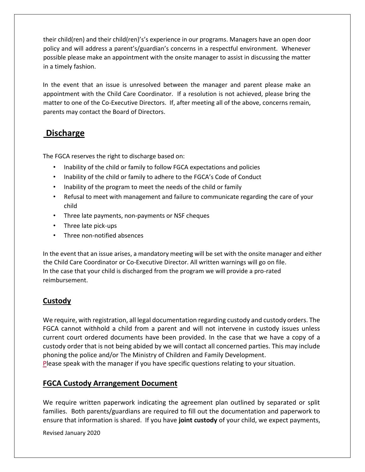their child(ren) and their child(ren)'s's experience in our programs. Managers have an open door policy and will address a parent's/guardian's concerns in a respectful environment. Whenever possible please make an appointment with the onsite manager to assist in discussing the matter in a timely fashion.

In the event that an issue is unresolved between the manager and parent please make an appointment with the Child Care Coordinator. If a resolution is not achieved, please bring the matter to one of the Co-Executive Directors. If, after meeting all of the above, concerns remain, parents may contact the Board of Directors.

# **Discharge**

The FGCA reserves the right to discharge based on:

- Inability of the child or family to follow FGCA expectations and policies
- Inability of the child or family to adhere to the FGCA's Code of Conduct
- Inability of the program to meet the needs of the child or family
- Refusal to meet with management and failure to communicate regarding the care of your child
- Three late payments, non-payments or NSF cheques
- Three late pick-ups
- Three non-notified absences

In the event that an issue arises, a mandatory meeting will be set with the onsite manager and either the Child Care Coordinator or Co-Executive Director. All written warnings will go on file. In the case that your child is discharged from the program we will provide a pro-rated reimbursement.

## **Custody**

We require, with registration, all legal documentation regarding custody and custody orders. The FGCA cannot withhold a child from a parent and will not intervene in custody issues unless current court ordered documents have been provided. In the case that we have a copy of a custody order that is not being abided by we will contact all concerned parties. This may include phoning the police and/or The Ministry of Children and Family Development.

Please speak with the manager if you have specific questions relating to your situation.

## **FGCA Custody Arrangement Document**

We require written paperwork indicating the agreement plan outlined by separated or split families. Both parents/guardians are required to fill out the documentation and paperwork to ensure that information is shared. If you have **joint custody** of your child, we expect payments,